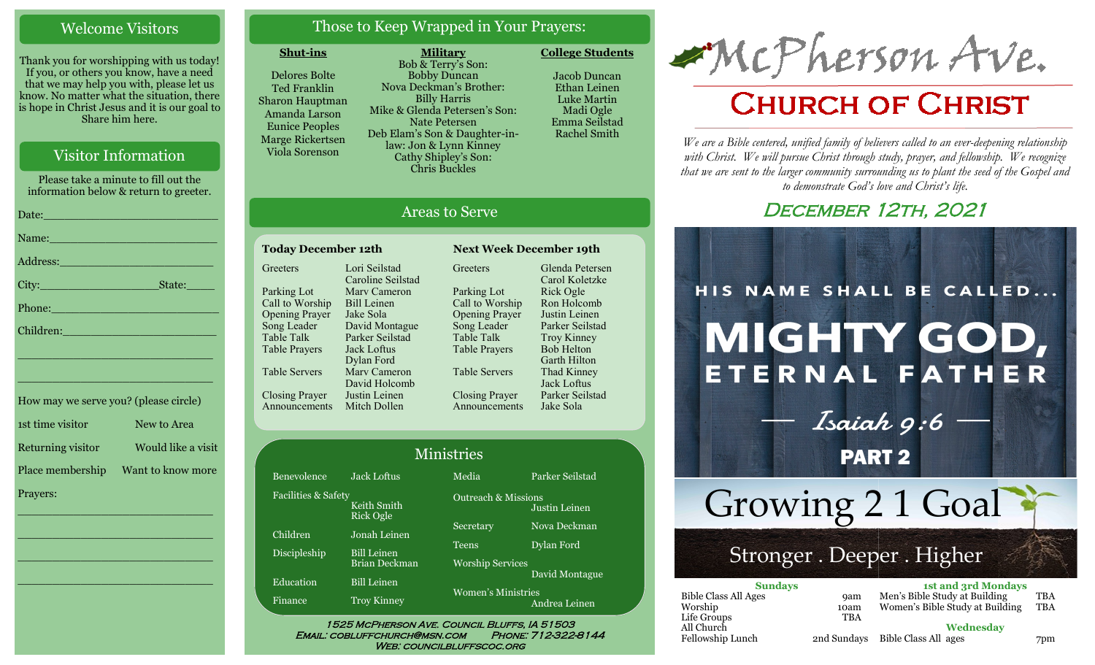#### Welcome Visitors

Thank you for worshipping with us today! If you, or others you know, have a need that we may help you with, please let us know. No matter what the situation, there is hope in Christ Jesus and it is our goal to Share him here.

#### Visitor Information

Please take a minute to fill out the information below & return to greeter. Date:\_\_\_\_\_\_\_\_\_\_\_\_\_\_\_\_\_\_\_\_\_\_\_\_\_ Name: Address:\_\_\_\_\_\_\_\_\_\_\_\_\_\_\_\_\_\_\_\_\_\_

City:\_\_\_\_\_\_\_\_\_\_\_\_\_\_\_\_\_State:\_\_\_\_

Phone:\_\_\_\_\_\_\_\_\_\_\_\_\_\_\_\_\_\_\_\_\_\_\_\_

Children:

How may we serve you? (please circle) 1st time visitor New to Area Returning visitor Would like a visit Place membership Want to know more Prayers:

\_\_\_\_\_\_\_\_\_\_\_\_\_\_\_\_\_\_\_\_\_\_\_\_\_\_\_\_

\_\_\_\_\_\_\_\_\_\_\_\_\_\_\_\_\_\_\_\_\_\_\_\_\_\_\_\_

\_\_\_\_\_\_\_\_\_\_\_\_\_\_\_\_\_\_\_\_\_\_\_\_\_\_\_\_

\_\_\_\_\_\_\_\_\_\_\_\_\_\_\_\_\_\_\_\_\_\_\_\_\_\_\_\_

\_\_\_\_\_\_\_\_\_\_\_\_\_\_\_\_\_\_\_\_\_\_\_\_\_\_\_\_

\_\_\_\_\_\_\_\_\_\_\_\_\_\_\_\_\_\_\_\_\_\_\_\_\_\_\_\_

### Those to Keep Wrapped in Your Prayers:

#### **Shut-ins**

**Greeters** 

Parking Lot Call to Worship Opening Prayer Song Leader Table Talk Table Prayers

Table Servers

Closing Prayer

Delores Bolte Ted Franklin Sharon Hauptman Amanda Larson Eunice Peoples Marge Rickertsen Viola Sorenson

Benevolence Jack Loftus

Announcements Mitch Dollen

Children Jonah Leinen Discipleship Bill Leinen

Education Bill Leinen Finance Troy Kinney

Keith Smith Rick Ogle

Lori Seilstad Caroline Seilstad Marv Cameron Bill Leinen Jake Sola David Montague Parker Seilstad Jack Loftus Dylan Ford Marv Cameron David Holcomb Justin Leinen

Brian Deckman

Facilities & Safety

**Military** Bob & Terry's Son: Bobby Duncan Nova Deckman's Brother: Billy Harris Mike & Glenda Petersen's Son: Nate Petersen Deb Elam's Son & Daughter-inlaw: Jon & Lynn Kinney Cathy Shipley's Son: Chris Buckles

**Today December 12th Next Week December 19th**

Areas to Serve

Greeters

Parking Lot Call to Worship Opening Prayer Song Leader Table Talk Table Prayers

Table Servers

Closing Prayer Announcements

1525 McPherson Ave. Council Bluffs, IA 51503 Email: cobluffchurch@msn.com Phone: 712-322-8144 WEB: COUNCILBLUFFSCOC.ORG

Ministries

Media Parker Seilstad

Secretary Nova Deckman Teens Dylan Ford

Justin Leinen

David Montague

Andrea Leinen

Outreach & Missions

Worship Services

Women's Ministries

**College Students**  Jacob Duncan Ethan Leinen Luke Martin Madi Ogle

> Emma Seilstad Rachel Smith

Glenda Petersen Carol Koletzke Rick Ogle Ron Holcomb Justin Leinen Parker Seilstad Troy Kinney Bob Helton Garth Hilton Thad Kinney Jack Loftus Parker Seilstad Jake Sola

McPherson Ave.

# **CHURCH OF CHRIST**

*We are a Bible centered, unified family of believers called to an ever-deepening relationship*  with Christ. We will pursue Christ through study, prayer, and fellowship. We recognize *that we are sent to the larger community surrounding us to plant the seed of the Gospel and to demonstrate God's love and Christ's life.*

# **DECEMBER 12TH, 2021**